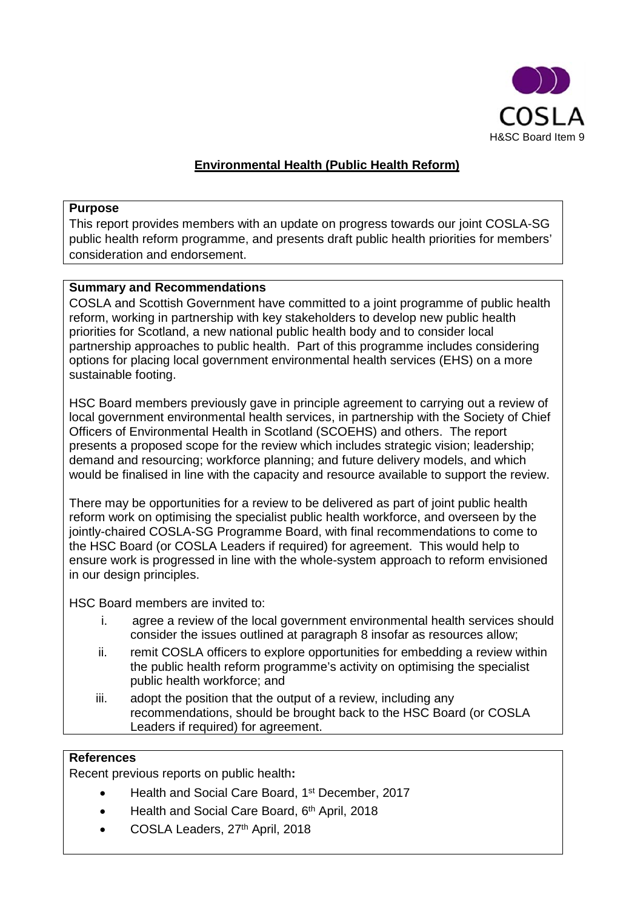

# **Environmental Health (Public Health Reform)**

#### **Purpose**

This report provides members with an update on progress towards our joint COSLA-SG public health reform programme, and presents draft public health priorities for members' consideration and endorsement.

## **Summary and Recommendations**

COSLA and Scottish Government have committed to a joint programme of public health reform, working in partnership with key stakeholders to develop new public health priorities for Scotland, a new national public health body and to consider local partnership approaches to public health. Part of this programme includes considering options for placing local government environmental health services (EHS) on a more sustainable footing.

HSC Board members previously gave in principle agreement to carrying out a review of local government environmental health services, in partnership with the Society of Chief Officers of Environmental Health in Scotland (SCOEHS) and others. The report presents a proposed scope for the review which includes strategic vision; leadership; demand and resourcing; workforce planning; and future delivery models, and which would be finalised in line with the capacity and resource available to support the review.

There may be opportunities for a review to be delivered as part of joint public health reform work on optimising the specialist public health workforce, and overseen by the jointly-chaired COSLA-SG Programme Board, with final recommendations to come to the HSC Board (or COSLA Leaders if required) for agreement. This would help to ensure work is progressed in line with the whole-system approach to reform envisioned in our design principles.

HSC Board members are invited to:

- i. agree a review of the local government environmental health services should consider the issues outlined at paragraph 8 insofar as resources allow;
- ii. remit COSLA officers to explore opportunities for embedding a review within the public health reform programme's activity on optimising the specialist public health workforce; and
- iii. adopt the position that the output of a review, including any recommendations, should be brought back to the HSC Board (or COSLA Leaders if required) for agreement.

#### **References**

Recent previous reports on public health**:**

- Health and Social Care Board, 1st December, 2017
- Health and Social Care Board, 6th April, 2018
- COSLA Leaders, 27th April, 2018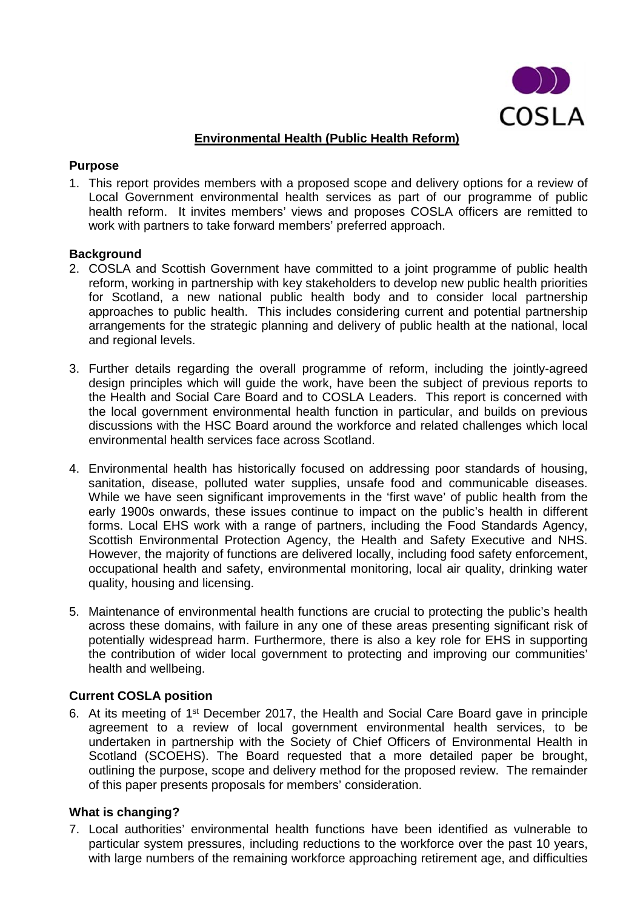

# **Environmental Health (Public Health Reform)**

#### **Purpose**

1. This report provides members with a proposed scope and delivery options for a review of Local Government environmental health services as part of our programme of public health reform. It invites members' views and proposes COSLA officers are remitted to work with partners to take forward members' preferred approach.

## **Background**

- 2. COSLA and Scottish Government have committed to a joint programme of public health reform, working in partnership with key stakeholders to develop new public health priorities for Scotland, a new national public health body and to consider local partnership approaches to public health. This includes considering current and potential partnership arrangements for the strategic planning and delivery of public health at the national, local and regional levels.
- 3. Further details regarding the overall programme of reform, including the jointly-agreed design principles which will guide the work, have been the subject of previous reports to the Health and Social Care Board and to COSLA Leaders. This report is concerned with the local government environmental health function in particular, and builds on previous discussions with the HSC Board around the workforce and related challenges which local environmental health services face across Scotland.
- 4. Environmental health has historically focused on addressing poor standards of housing, sanitation, disease, polluted water supplies, unsafe food and communicable diseases. While we have seen significant improvements in the 'first wave' of public health from the early 1900s onwards, these issues continue to impact on the public's health in different forms. Local EHS work with a range of partners, including the Food Standards Agency, Scottish Environmental Protection Agency, the Health and Safety Executive and NHS. However, the majority of functions are delivered locally, including food safety enforcement, occupational health and safety, environmental monitoring, local air quality, drinking water quality, housing and licensing.
- 5. Maintenance of environmental health functions are crucial to protecting the public's health across these domains, with failure in any one of these areas presenting significant risk of potentially widespread harm. Furthermore, there is also a key role for EHS in supporting the contribution of wider local government to protecting and improving our communities' health and wellbeing.

# **Current COSLA position**

6. At its meeting of 1st December 2017, the Health and Social Care Board gave in principle agreement to a review of local government environmental health services, to be undertaken in partnership with the Society of Chief Officers of Environmental Health in Scotland (SCOEHS). The Board requested that a more detailed paper be brought, outlining the purpose, scope and delivery method for the proposed review. The remainder of this paper presents proposals for members' consideration.

# **What is changing?**

7. Local authorities' environmental health functions have been identified as vulnerable to particular system pressures, including reductions to the workforce over the past 10 years, with large numbers of the remaining workforce approaching retirement age, and difficulties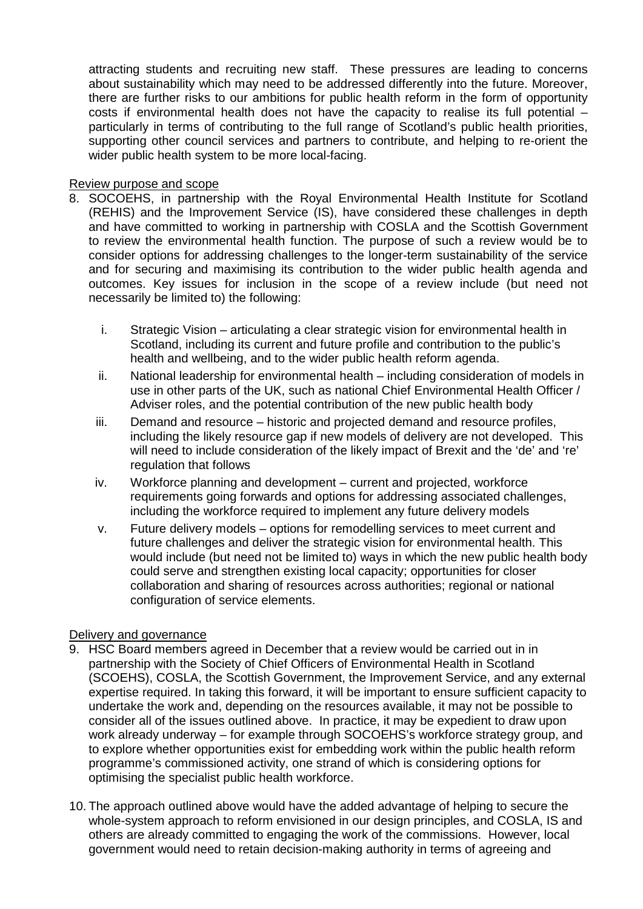attracting students and recruiting new staff. These pressures are leading to concerns about sustainability which may need to be addressed differently into the future. Moreover, there are further risks to our ambitions for public health reform in the form of opportunity costs if environmental health does not have the capacity to realise its full potential – particularly in terms of contributing to the full range of Scotland's public health priorities. supporting other council services and partners to contribute, and helping to re-orient the wider public health system to be more local-facing.

## Review purpose and scope

- 8. SOCOEHS, in partnership with the Royal Environmental Health Institute for Scotland (REHIS) and the Improvement Service (IS), have considered these challenges in depth and have committed to working in partnership with COSLA and the Scottish Government to review the environmental health function. The purpose of such a review would be to consider options for addressing challenges to the longer-term sustainability of the service and for securing and maximising its contribution to the wider public health agenda and outcomes. Key issues for inclusion in the scope of a review include (but need not necessarily be limited to) the following:
	- i. Strategic Vision articulating a clear strategic vision for environmental health in Scotland, including its current and future profile and contribution to the public's health and wellbeing, and to the wider public health reform agenda.
	- ii. National leadership for environmental health including consideration of models in use in other parts of the UK, such as national Chief Environmental Health Officer / Adviser roles, and the potential contribution of the new public health body
	- iii. Demand and resource historic and projected demand and resource profiles, including the likely resource gap if new models of delivery are not developed. This will need to include consideration of the likely impact of Brexit and the 'de' and 're' regulation that follows
	- iv. Workforce planning and development current and projected, workforce requirements going forwards and options for addressing associated challenges, including the workforce required to implement any future delivery models
	- v. Future delivery models options for remodelling services to meet current and future challenges and deliver the strategic vision for environmental health. This would include (but need not be limited to) ways in which the new public health body could serve and strengthen existing local capacity; opportunities for closer collaboration and sharing of resources across authorities; regional or national configuration of service elements.

# Delivery and governance

- 9. HSC Board members agreed in December that a review would be carried out in in partnership with the Society of Chief Officers of Environmental Health in Scotland (SCOEHS), COSLA, the Scottish Government, the Improvement Service, and any external expertise required. In taking this forward, it will be important to ensure sufficient capacity to undertake the work and, depending on the resources available, it may not be possible to consider all of the issues outlined above. In practice, it may be expedient to draw upon work already underway – for example through SOCOEHS's workforce strategy group, and to explore whether opportunities exist for embedding work within the public health reform programme's commissioned activity, one strand of which is considering options for optimising the specialist public health workforce.
- 10. The approach outlined above would have the added advantage of helping to secure the whole-system approach to reform envisioned in our design principles, and COSLA, IS and others are already committed to engaging the work of the commissions. However, local government would need to retain decision-making authority in terms of agreeing and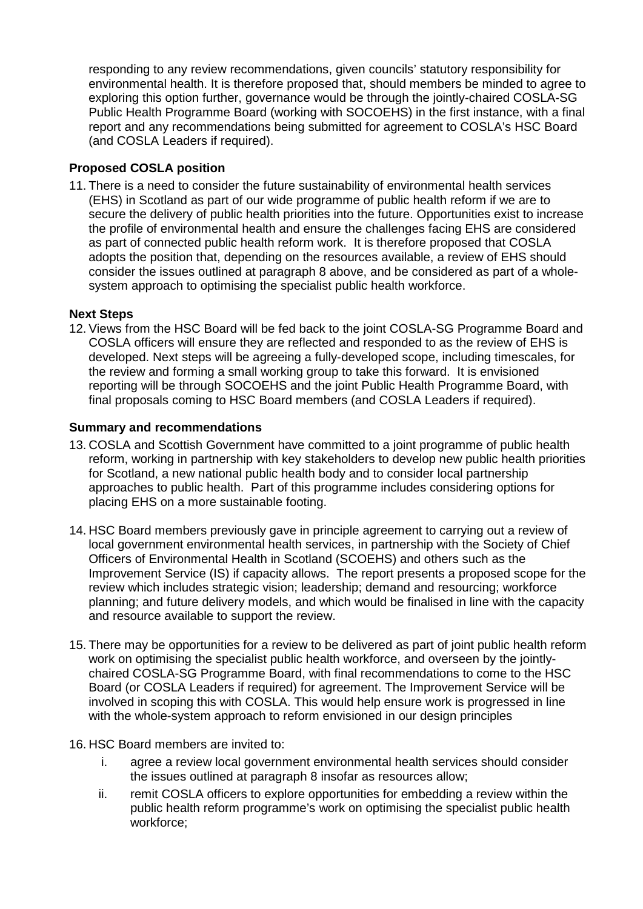responding to any review recommendations, given councils' statutory responsibility for environmental health. It is therefore proposed that, should members be minded to agree to exploring this option further, governance would be through the jointly-chaired COSLA-SG Public Health Programme Board (working with SOCOEHS) in the first instance, with a final report and any recommendations being submitted for agreement to COSLA's HSC Board (and COSLA Leaders if required).

# **Proposed COSLA position**

11. There is a need to consider the future sustainability of environmental health services (EHS) in Scotland as part of our wide programme of public health reform if we are to secure the delivery of public health priorities into the future. Opportunities exist to increase the profile of environmental health and ensure the challenges facing EHS are considered as part of connected public health reform work. It is therefore proposed that COSLA adopts the position that, depending on the resources available, a review of EHS should consider the issues outlined at paragraph 8 above, and be considered as part of a wholesystem approach to optimising the specialist public health workforce.

## **Next Steps**

12. Views from the HSC Board will be fed back to the joint COSLA-SG Programme Board and COSLA officers will ensure they are reflected and responded to as the review of EHS is developed. Next steps will be agreeing a fully-developed scope, including timescales, for the review and forming a small working group to take this forward. It is envisioned reporting will be through SOCOEHS and the joint Public Health Programme Board, with final proposals coming to HSC Board members (and COSLA Leaders if required).

## **Summary and recommendations**

- 13. COSLA and Scottish Government have committed to a joint programme of public health reform, working in partnership with key stakeholders to develop new public health priorities for Scotland, a new national public health body and to consider local partnership approaches to public health. Part of this programme includes considering options for placing EHS on a more sustainable footing.
- 14. HSC Board members previously gave in principle agreement to carrying out a review of local government environmental health services, in partnership with the Society of Chief Officers of Environmental Health in Scotland (SCOEHS) and others such as the Improvement Service (IS) if capacity allows. The report presents a proposed scope for the review which includes strategic vision; leadership; demand and resourcing; workforce planning; and future delivery models, and which would be finalised in line with the capacity and resource available to support the review.
- 15. There may be opportunities for a review to be delivered as part of joint public health reform work on optimising the specialist public health workforce, and overseen by the jointlychaired COSLA-SG Programme Board, with final recommendations to come to the HSC Board (or COSLA Leaders if required) for agreement. The Improvement Service will be involved in scoping this with COSLA. This would help ensure work is progressed in line with the whole-system approach to reform envisioned in our design principles
- 16. HSC Board members are invited to:
	- i. agree a review local government environmental health services should consider the issues outlined at paragraph 8 insofar as resources allow;
	- ii. remit COSLA officers to explore opportunities for embedding a review within the public health reform programme's work on optimising the specialist public health workforce;